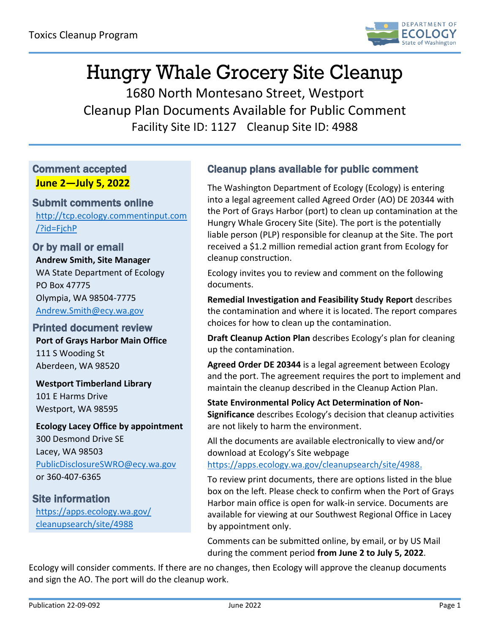

# Hungry Whale Grocery Site Cleanup

1680 North Montesano Street, Westport Cleanup Plan Documents Available for Public Comment Facility Site ID: 1127 Cleanup Site ID: 4988

### Comment accepted **June 2—July 5, 2022**

#### Submit comments online [http://tcp.ecology.commentinput.com](http://tcp.ecology.commentinput.com/?id=FjchP) [/?id=FjchP](http://tcp.ecology.commentinput.com/?id=FjchP)

Or by mail or email **Andrew Smith, Site Manager** WA State Department of Ecology PO Box 47775 Olympia, WA 98504-7775 [Andrew.Smith@ecy.wa.gov](mailto:Andrew.Smith@ecy.wa.gov)

Printed document review **Port of Grays Harbor Main Office** 111 S Wooding St Aberdeen, WA 98520

**Westport Timberland Library** 101 E Harms Drive Westport, WA 98595

**Ecology Lacey Office by appointment** 300 Desmond Drive SE Lacey, WA 98503 [PublicDisclosureSWRO@ecy.wa.gov](mailto:PublicDisclosureSWRO@ecy.wa.gov) or 360-407-6365

Site information [https://apps.ecology.wa.gov/](https://apps.ecology.wa.gov/cleanupsearch/site/4988) [cleanupsearch/site/4988](https://apps.ecology.wa.gov/cleanupsearch/site/4988)

## Cleanup plans available for public comment

The Washington Department of Ecology (Ecology) is entering into a legal agreement called Agreed Order (AO) DE 20344 with the Port of Grays Harbor (port) to clean up contamination at the Hungry Whale Grocery Site (Site). The port is the potentially liable person (PLP) responsible for cleanup at the Site. The port received a \$1.2 million remedial action grant from Ecology for cleanup construction.

Ecology invites you to review and comment on the following documents.

**Remedial Investigation and Feasibility Study Report** describes the contamination and where it is located. The report compares choices for how to clean up the contamination.

**Draft Cleanup Action Plan** describes Ecology's plan for cleaning up the contamination.

**Agreed Order DE 20344** is a legal agreement between Ecology and the port. The agreement requires the port to implement and maintain the cleanup described in the Cleanup Action Plan.

**State Environmental Policy Act Determination of Non-Significance** describes Ecology's decision that cleanup activities are not likely to harm the environment.

All the documents are available electronically to view and/or download at Ecology's Site webpage [https://apps.ecology.wa.gov/cleanupsearch/site/4988.](https://apps.ecology.wa.gov/cleanupsearch/site/4988)

To review print documents, there are options listed in the blue box on the left. Please check to confirm when the Port of Grays Harbor main office is open for walk-in service. Documents are available for viewing at our Southwest Regional Office in Lacey by appointment only.

Comments can be submitted online, by email, or by US Mail during the comment period **from June 2 to July 5, 2022**.

Ecology will consider comments. If there are no changes, then Ecology will approve the cleanup documents and sign the AO. The port will do the cleanup work.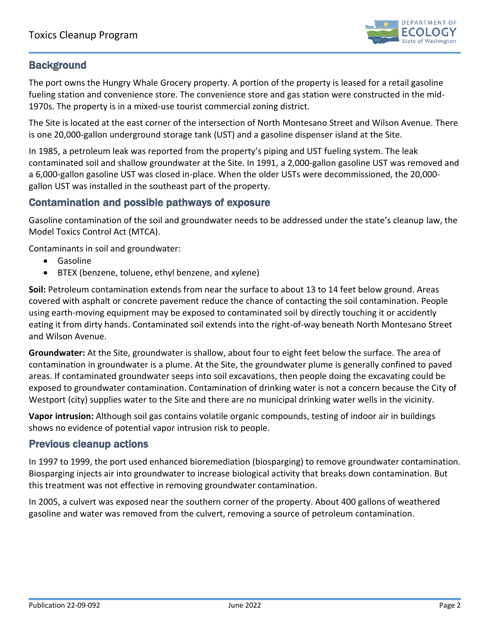

#### **Background**

The port owns the Hungry Whale Grocery property. A portion of the property is leased for a retail gasoline fueling station and convenience store. The convenience store and gas station were constructed in the mid-1970s. The property is in a mixed-use tourist commercial zoning district.

The Site is located at the east corner of the intersection of North Montesano Street and Wilson Avenue. There is one 20,000-gallon underground storage tank (UST) and a gasoline dispenser island at the Site.

In 1985, a petroleum leak was reported from the property's piping and UST fueling system. The leak contaminated soil and shallow groundwater at the Site. In 1991, a 2,000-gallon gasoline UST was removed and a 6,000-gallon gasoline UST was closed in-place. When the older USTs were decommissioned, the 20,000 gallon UST was installed in the southeast part of the property.

#### Contamination and possible pathways of exposure

Gasoline contamination of the soil and groundwater needs to be addressed under the state's cleanup law, the Model Toxics Control Act (MTCA).

Contaminants in soil and groundwater:

- Gasoline
- BTEX (benzene, toluene, ethyl benzene, and xylene)

**Soil:** Petroleum contamination extends from near the surface to about 13 to 14 feet below ground. Areas covered with asphalt or concrete pavement reduce the chance of contacting the soil contamination. People using earth-moving equipment may be exposed to contaminated soil by directly touching it or accidently eating it from dirty hands. Contaminated soil extends into the right-of-way beneath North Montesano Street and Wilson Avenue.

**Groundwater:** At the Site, groundwater is shallow, about four to eight feet below the surface. The area of contamination in groundwater is a plume. At the Site, the groundwater plume is generally confined to paved areas. If contaminated groundwater seeps into soil excavations, then people doing the excavating could be exposed to groundwater contamination. Contamination of drinking water is not a concern because the City of Westport (city) supplies water to the Site and there are no municipal drinking water wells in the vicinity.

**Vapor intrusion:** Although soil gas contains volatile organic compounds, testing of indoor air in buildings shows no evidence of potential vapor intrusion risk to people.

#### Previous cleanup actions

In 1997 to 1999, the port used enhanced bioremediation (biosparging) to remove groundwater contamination. Biosparging injects air into groundwater to increase biological activity that breaks down contamination. But this treatment was not effective in removing groundwater contamination.

In 2005, a culvert was exposed near the southern corner of the property. About 400 gallons of weathered gasoline and water was removed from the culvert, removing a source of petroleum contamination.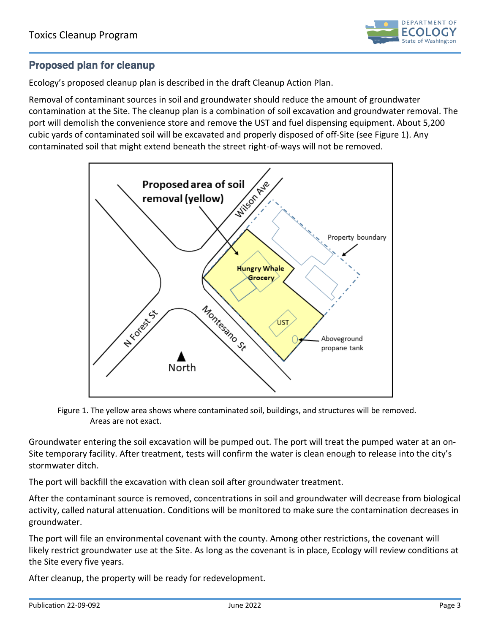

#### Proposed plan for cleanup

Ecology's proposed cleanup plan is described in the draft Cleanup Action Plan.

Removal of contaminant sources in soil and groundwater should reduce the amount of groundwater contamination at the Site. The cleanup plan is a combination of soil excavation and groundwater removal. The port will demolish the convenience store and remove the UST and fuel dispensing equipment. About 5,200 cubic yards of contaminated soil will be excavated and properly disposed of off-Site (see Figure 1). Any contaminated soil that might extend beneath the street right-of-ways will not be removed.



Figure 1. The yellow area shows where contaminated soil, buildings, and structures will be removed. Areas are not exact.

Groundwater entering the soil excavation will be pumped out. The port will treat the pumped water at an on-Site temporary facility. After treatment, tests will confirm the water is clean enough to release into the city's stormwater ditch.

The port will backfill the excavation with clean soil after groundwater treatment.

After the contaminant source is removed, concentrations in soil and groundwater will decrease from biological activity, called natural attenuation. Conditions will be monitored to make sure the contamination decreases in groundwater.

The port will file an environmental covenant with the county. Among other restrictions, the covenant will likely restrict groundwater use at the Site. As long as the covenant is in place, Ecology will review conditions at the Site every five years.

After cleanup, the property will be ready for redevelopment.